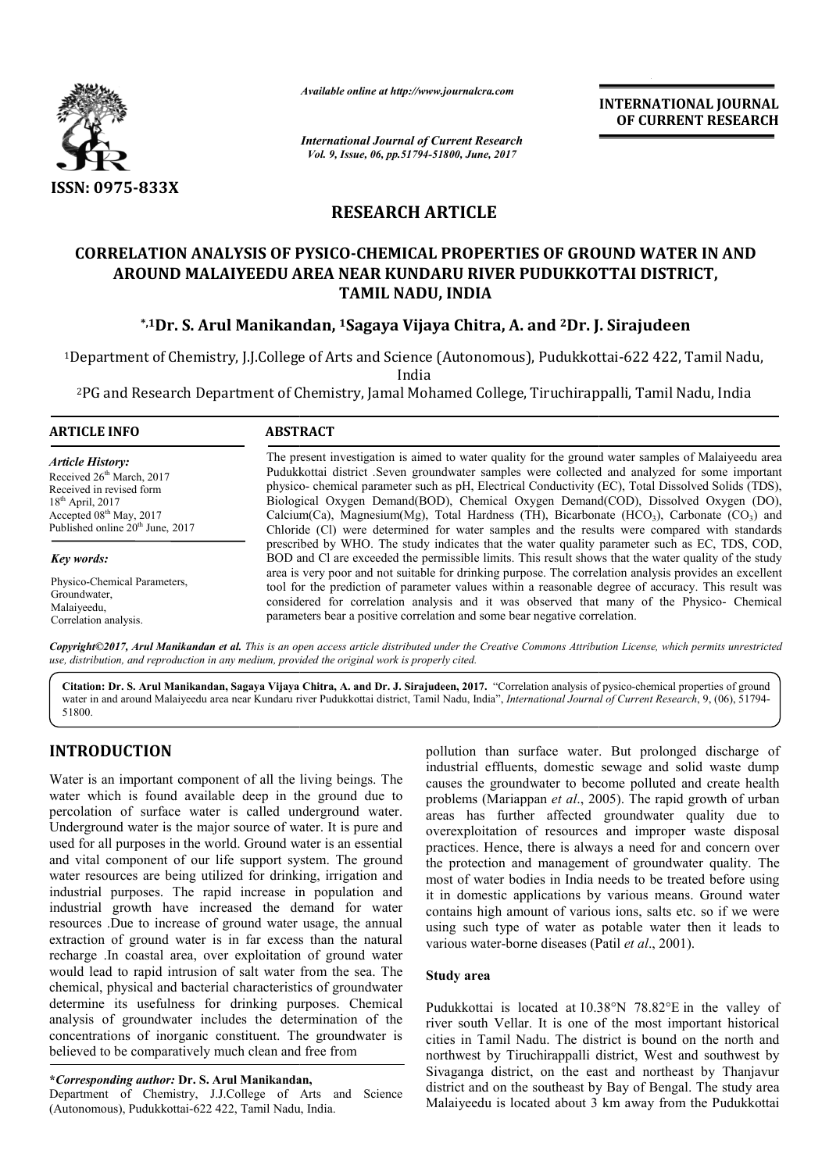

*Available online at http://www.journalcra.com*

*International Journal of Current Research Vol. 9, Issue, 06, pp.51794-51800, June, 2017*

**INTERNATIONAL JOURNAL OF CURRENT RESEARCH** 

# **RESEARCH ARTICLE**

# **CORRELATION ANALYSIS OF PYSICO PYSICO-CHEMICAL PROPERTIES OF GROUND WATER CHEMICAL IN AND AROUND MALAIYEEDU AREA NEAR KUNDARU RIVER PUDUKKOTTAI DISTRICT, TAMIL NADU, INDIA**

# **\*,1Dr. S. Arul Manikandan . Manikandan, 1Sagaya Vijaya Chitra, A. and 2Dr. J. J. Sirajudeen**

<sup>1</sup>Department of Chemistry, J.J.College of Arts and Science (Autonomous), Pudukkottai-622 422, Tamil Nadu, India

<sup>2</sup>PG and Research Department of Chemistry, Jamal Mohamed College, Tiruchirappalli, Tamil Nadu, India

### **ARTICLE INFO ABSTRACT**

*Article History:* Received  $26<sup>th</sup> March$ , 2017 Received in revised form  $18<sup>th</sup>$  April, 2017 Accepted 08<sup>th</sup> May, 2017 Published online 20<sup>th</sup> June, 2017

*Key words:* Physico-Chemical Parameters, Groundwater, Malaiyeedu, Correlation analysis.

The present investigation is aimed to water quality for the ground water samples of Malaiyeedu area Pudukkottai district *.*Seven groundwater samples were collected and analyzed for some important physico physico- chemical parameter such as pH, Electrical Conductivity (EC), Total Dissolved Solids (TDS), Biological Oxygen Demand(BOD), Chemical Oxygen Demand(COD), Dissolved Oxygen (DO), Calcium( Calcium(Ca), Magnesium(Mg), Total Hardness (TH), Bicarbonate ( Chloride ( (Cl) were determined for water samples and the results were compared with standards prescribed by WHO. The study indicates that the water quality parameter such as EC, TDS, COD, BOD and Cl are exceeded the permissible limits. This result shows that the water quality of the study area is very poor and not suitable for drinking purpose. The correlation analysis provides an excellent tool for the prediction of parameter values within a reasonable degree of accuracy. This result was considered for correlation analysis and it was observed that man parameters bear a positive correlation and some bear negative correlation. The present investigation is aimed to water quality for the ground water samples of Malaiyeedu area<br>Pudukkottai district .Seven groundwater samples were collected and analyzed for some important<br>physico- chemical paramete Chloride (Cl) were determined for water samples and the results were compared with standards prescribed by WHO. The study indicates that the water quality parameter such as EC, TDS, COD, BOD and Cl are exceeded the permiss

*Copyright©2017, Arul Manikandan et al. This is an open access article distributed under the Creative Commons Att Attribution License, which ribution which permits unrestricted use, distribution, and reproduction in any medium, provided the original work is properly cited.*

Citation: Dr. S. Arul Manikandan, Sagaya Vijaya Chitra, A. and Dr. J. Sirajudeen, 2017. "Correlation analysis of pysico-chemical properties of ground water in and around Malaiyeedu area near Kundaru river Pudukkottai district, Tamil Nadu, India", *International Journal of Current Research*, 9, (06), 51794-51800.

# **INTRODUCTION**

Water is an important component of all the living beings. The water which is found available deep in the ground due to percolation of surface water is called underground water. Underground water is the major source of water. It is pure and used for all purposes in the world. Ground water is an essential and vital component of our life support system. The ground water resources are being utilized for drinking, irrigation and industrial purposes. The rapid increase in population and industrial growth have increased the demand for water resources .Due to increase of ground water usage, the annual extraction of ground water is in far excess than the natural recharge .In coastal area, over exploitation of ground water would lead to rapid intrusion of salt water from the sea. The chemical, physical and bacterial characteristics of groundwater determine its usefulness for drinking purposes. Chemical analysis of groundwater includes the determination of the concentrations of inorganic constituent. The groundwater believed to be comparatively much clean and free from In coastal area, over exploitation of ground water<br>d to rapid intrusion of salt water from the sea. The<br>physical and bacterial characteristics of groundwater<br>its usefulness for drinking purposes. Chemical<br>of groundwater in

**\****Corresponding author:* **Dr. S. Arul Manikandan,**

Department of Chemistry, J.J.College of Arts and Science (Autonomous), Pudukkottai-622 422, Tamil Nadu, India.

pollution than surface water. But prolonged discharge of<br>
industrial effluents, domestic sevage and solid wasted mendiated<br>
available deep in the ground due to<br>
causes the groundwater to become polluted and create health<br> industrial effluents, domestic sewage and solid waste dump causes the groundwater to become polluted and create health problems (Mariappan *et al.*, 2005). The rapid growth of urban areas has further affected g groundwater quality due to overexploitation of resources and improper waste disposal practices. Hence, there is always a need for and concern over the protection and management of groundwater quality. The most of water bodies in India needs to be treated be it in domestic applications by various means. Ground water contains high amount of various ions, salts etc. so if we were using such type of water as potable water then it leads to various water-borne diseases (Patil et al., 2001). In than surface water. But prolonged discharge of al effluents, domestic sewage and solid waste dump the groundwater to become polluted and create health ns (Mariappan *et al.*, 2005). The rapid growth of urban n of resources and improper waste disposal<br>ee, there is always a need for and concern over<br>and management of groundwater quality. The<br>bodies in India needs to be treated before using is high amount of various ions, salts etc. so if we we<br>such type of water as potable water then it leads<br>s water-borne diseases (Patil *et al.*, 2001). INTERNATIONAL JOUENNAL<br>
In Research<br>
or CURRENT RESEARCH<br>
June, 2017<br>
CLEE<br>
CLEE<br>
COLEE<br>
COLEE<br>
COLEE<br>
COLEE<br>
COLEE<br>
COLEE<br>
COLEE<br>
COLEE<br>
COLEE<br>
COLEE<br>
COLEE<br>
COLEE<br>
COLEE<br>
COLEE<br>
COLEE<br>
COLEE<br>
COLEE<br>
COLEE<br>
COLEE<br>
COLEE<br>

# **Study area**

Pudukkottai is located at 10.38°N 78.82°E in the valley of river south Vellar. It is one of the most important historical cities in Tamil Nadu. The district is bound on the north and northwest by Tiruchirappalli district, West and southwest by Sivaganga district, on the east and northeast by Thanjavur district and on the southeast by Bay of Bengal. The study area Malaiyeedu is located about 3 km away from the Pudukkottai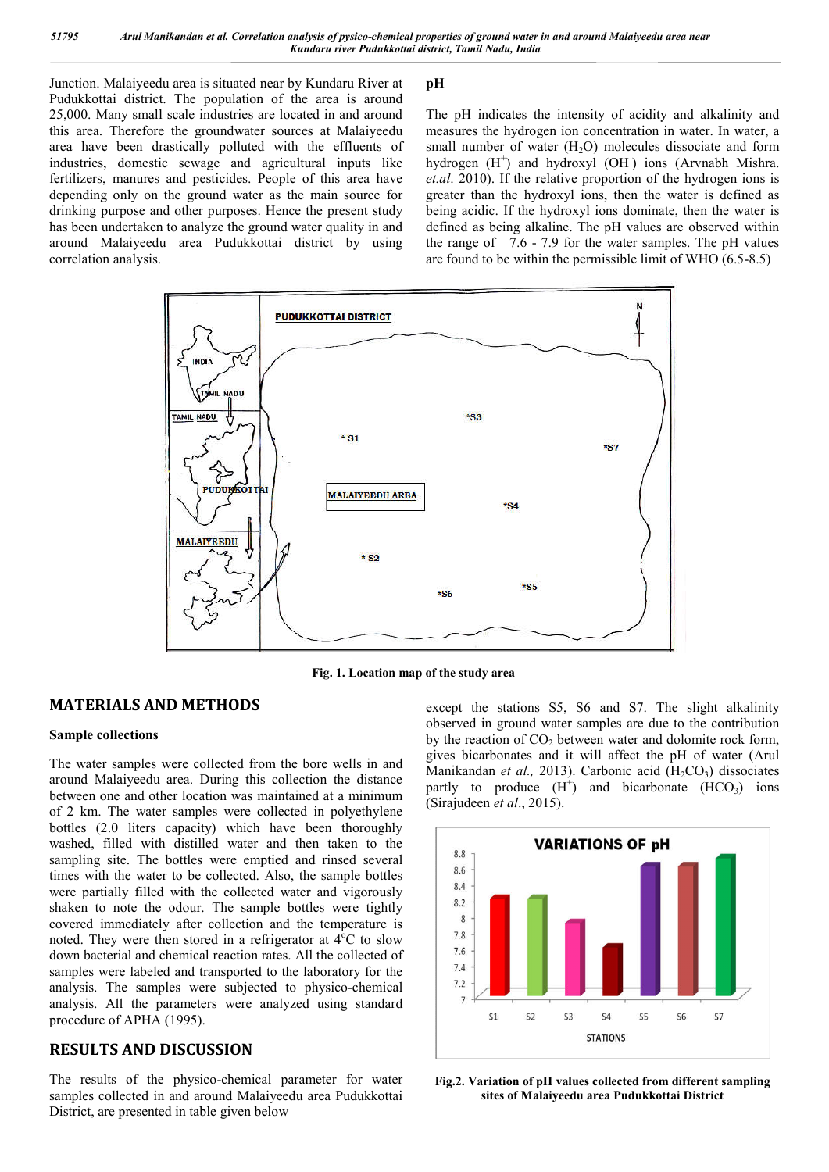Junction. Malaiyeedu area is situated near by Kundaru River at Pudukkottai district. The population of the area is around 25,000. Many small scale industries are located in and around this area. Therefore the groundwater sources at Malaiyeedu area have been drastically polluted with the effluents of industries, domestic sewage and agricultural inputs like fertilizers, manures and pesticides. People of this area have depending only on the ground water as the main source for drinking purpose and other purposes. Hence the present study has been undertaken to analyze the ground water quality in and around Malaiyeedu area Pudukkottai district by using correlation analysis.

# **pH**

The pH indicates the intensity of acidity and alkalinity and measures the hydrogen ion concentration in water. In water, a small number of water  $(H<sub>2</sub>O)$  molecules dissociate and form hydrogen (H<sup>+</sup>) and hydroxyl (OH<sup>-</sup>) ions (Arvnabh Mishra. *et.al*. 2010). If the relative proportion of the hydrogen ions is greater than the hydroxyl ions, then the water is defined as being acidic. If the hydroxyl ions dominate, then the water is defined as being alkaline. The pH values are observed within the range of 7.6 - 7.9 for the water samples. The pH values are found to be within the permissible limit of WHO (6.5-8.5)



**Fig. 1. Location map of the study area**

# **MATERIALS AND METHODS**

# **Sample collections**

The water samples were collected from the bore wells in and around Malaiyeedu area. During this collection the distance between one and other location was maintained at a minimum of 2 km. The water samples were collected in polyethylene bottles (2.0 liters capacity) which have been thoroughly washed, filled with distilled water and then taken to the sampling site. The bottles were emptied and rinsed several times with the water to be collected. Also, the sample bottles were partially filled with the collected water and vigorously shaken to note the odour. The sample bottles were tightly covered immediately after collection and the temperature is noted. They were then stored in a refrigerator at  $4^{\circ}$ C to slow down bacterial and chemical reaction rates. All the collected of samples were labeled and transported to the laboratory for the analysis. The samples were subjected to physico-chemical analysis. All the parameters were analyzed using standard procedure of APHA (1995).

# **RESULTS AND DISCUSSION**

The results of the physico-chemical parameter for water samples collected in and around Malaiyeedu area Pudukkottai District, are presented in table given below

except the stations S5, S6 and S7. The slight alkalinity observed in ground water samples are due to the contribution by the reaction of  $CO<sub>2</sub>$  between water and dolomite rock form, gives bicarbonates and it will affect the pH of water (Arul Manikandan *et al.*, 2013). Carbonic acid (H<sub>2</sub>CO<sub>3</sub>) dissociates partly to produce  $(H^+)$  and bicarbonate  $(HCO<sub>3</sub>)$  ions (Sirajudeen *et al*., 2015).



**Fig.2. Variation of pH values collected from different sampling sites of Malaiyeedu area Pudukkottai District**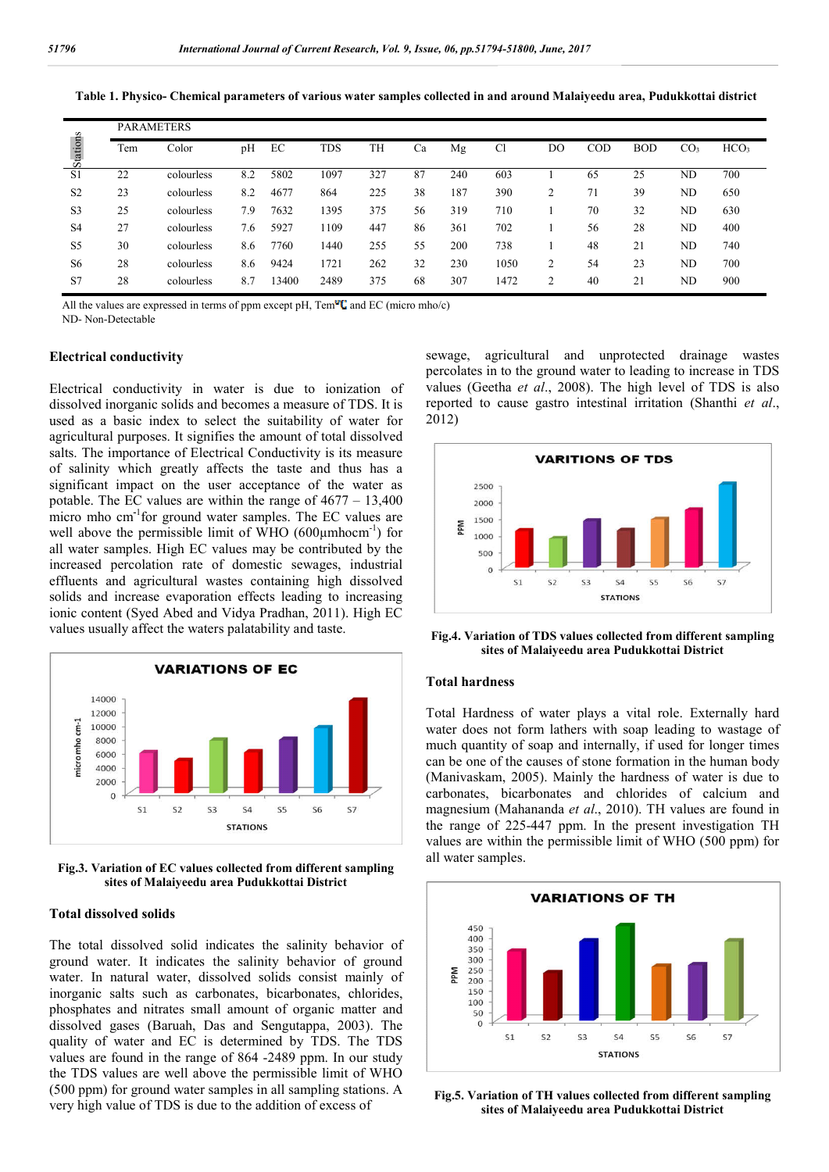| Table 1. Physico- Chemical parameters of various water samples collected in and around Malaiveedu area. Pudukkottai district |  |  |
|------------------------------------------------------------------------------------------------------------------------------|--|--|
|                                                                                                                              |  |  |

| Stations       | <b>PARAMETERS</b> |            |     |       |            |     |    |     |      |    |     |            |                 |                  |
|----------------|-------------------|------------|-----|-------|------------|-----|----|-----|------|----|-----|------------|-----------------|------------------|
|                | Tem               | Color      | pH  | EC    | <b>TDS</b> | TH  | Ca | Mg  | Cl   | DO | COD | <b>BOD</b> | CO <sub>3</sub> | HCO <sub>3</sub> |
| S <sub>1</sub> | 22                | colourless | 8.2 | 5802  | 1097       | 327 | 87 | 240 | 603  |    | 65  | 25         | <b>ND</b>       | 700              |
| S <sub>2</sub> | 23                | colourless | 8.2 | 4677  | 864        | 225 | 38 | 187 | 390  | 2  | 71  | 39         | <b>ND</b>       | 650              |
| S <sub>3</sub> | 25                | colourless | 7.9 | 7632  | 1395       | 375 | 56 | 319 | 710  |    | 70  | 32         | <b>ND</b>       | 630              |
| S <sub>4</sub> | 27                | colourless | 7.6 | 5927  | 1109       | 447 | 86 | 361 | 702  |    | 56  | 28         | <b>ND</b>       | 400              |
| S <sub>5</sub> | 30                | colourless | 8.6 | 7760  | 1440       | 255 | 55 | 200 | 738  |    | 48  | 21         | <b>ND</b>       | 740              |
| S <sub>6</sub> | 28                | colourless | 8.6 | 9424  | 1721       | 262 | 32 | 230 | 1050 | 2  | 54  | 23         | ND              | 700              |
| S7             | 28                | colourless | 8.7 | 13400 | 2489       | 375 | 68 | 307 | 1472 | 2  | 40  | 21         | <b>ND</b>       | 900              |

All the values are expressed in terms of ppm except pH,  $\text{Tem}^{\omega}C$  and EC (micro mho/c)

ND- Non-Detectable

## **Electrical conductivity**

Electrical conductivity in water is due to ionization of dissolved inorganic solids and becomes a measure of TDS. It is used as a basic index to select the suitability of water for agricultural purposes. It signifies the amount of total dissolved salts. The importance of Electrical Conductivity is its measure of salinity which greatly affects the taste and thus has a significant impact on the user acceptance of the water as potable. The EC values are within the range of 4677 – 13,400 micro mho cm**-**<sup>1</sup> for ground water samples. The EC values are well above the permissible limit of WHO  $(600 \mu m \text{hocm}^{-1})$  for all water samples. High EC values may be contributed by the increased percolation rate of domestic sewages, industrial effluents and agricultural wastes containing high dissolved solids and increase evaporation effects leading to increasing ionic content (Syed Abed and Vidya Pradhan, 2011). High EC values usually affect the waters palatability and taste.



**Fig.3. Variation of EC values collected from different sampling sites of Malaiyeedu area Pudukkottai District**

#### **Total dissolved solids**

The total dissolved solid indicates the salinity behavior of ground water. It indicates the salinity behavior of ground water. In natural water, dissolved solids consist mainly of inorganic salts such as carbonates, bicarbonates, chlorides, phosphates and nitrates small amount of organic matter and dissolved gases (Baruah, Das and Sengutappa, 2003). The quality of water and EC is determined by TDS. The TDS values are found in the range of 864 -2489 ppm. In our study the TDS values are well above the permissible limit of WHO (500 ppm) for ground water samples in all sampling stations. A very high value of TDS is due to the addition of excess of

sewage, agricultural and unprotected drainage wastes percolates in to the ground water to leading to increase in TDS values (Geetha *et al*., 2008). The high level of TDS is also reported to cause gastro intestinal irritation (Shanthi *et al*., 2012)



**Fig.4. Variation of TDS values collected from different sampling sites of Malaiyeedu area Pudukkottai District**

#### **Total hardness**

Total Hardness of water plays a vital role. Externally hard water does not form lathers with soap leading to wastage of much quantity of soap and internally, if used for longer times can be one of the causes of stone formation in the human body (Manivaskam, 2005). Mainly the hardness of water is due to carbonates, bicarbonates and chlorides of calcium and magnesium (Mahananda *et al*., 2010). TH values are found in the range of 225-447 ppm. In the present investigation TH values are within the permissible limit of WHO (500 ppm) for all water samples.



**Fig.5. Variation of TH values collected from different sampling sites of Malaiyeedu area Pudukkottai District**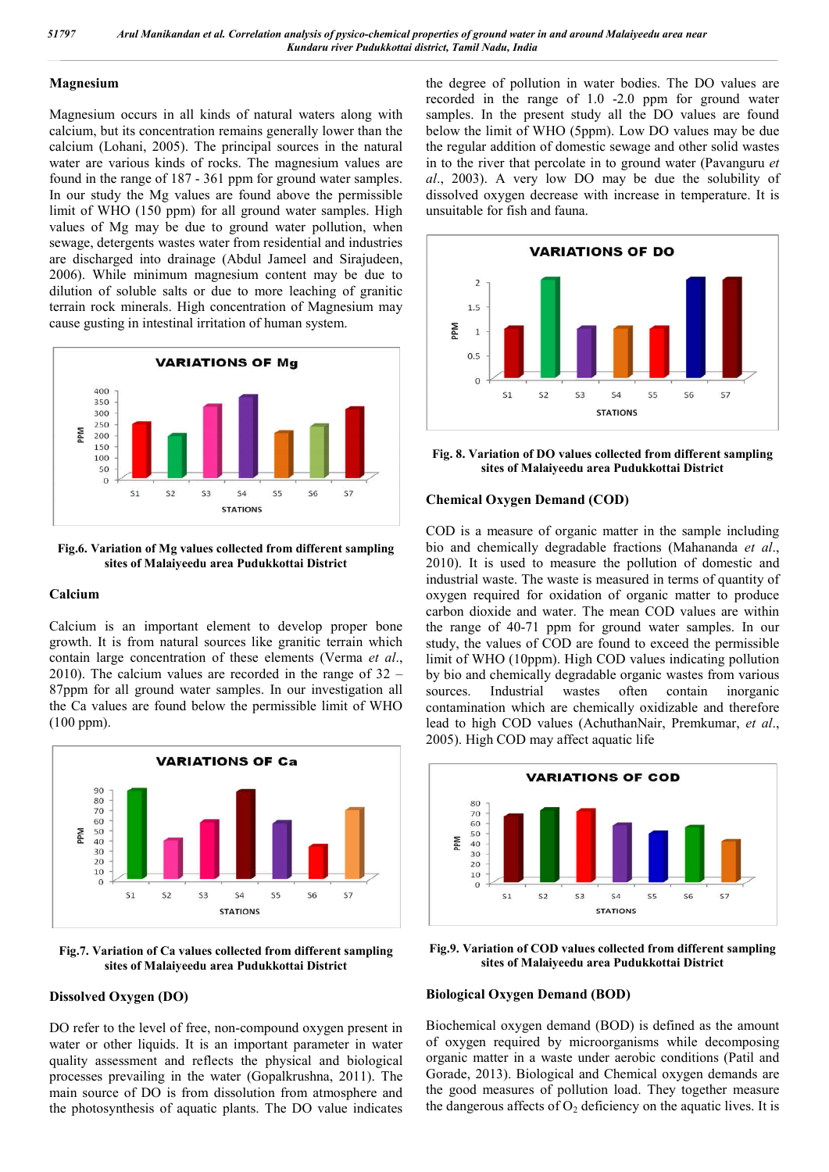#### **Magnesium**

Magnesium occurs in all kinds of natural waters along with calcium, but its concentration remains generally lower than the calcium (Lohani, 2005). The principal sources in the natural water are various kinds of rocks. The magnesium values are found in the range of 187 - 361 ppm for ground water samples. In our study the Mg values are found above the permissible limit of WHO (150 ppm) for all ground water samples. High values of Mg may be due to ground water pollution, when sewage, detergents wastes water from residential and industries are discharged into drainage (Abdul Jameel and Sirajudeen, 2006). While minimum magnesium content may be due to dilution of soluble salts or due to more leaching of granitic terrain rock minerals. High concentration of Magnesium may cause gusting in intestinal irritation of human system.



**Fig.6. Variation of Mg values collected from different sampling sites of Malaiyeedu area Pudukkottai District**

### **Calcium**

Calcium is an important element to develop proper bone growth. It is from natural sources like granitic terrain which contain large concentration of these elements (Verma *et al*., 2010). The calcium values are recorded in the range of 32 – 87ppm for all ground water samples. In our investigation all the Ca values are found below the permissible limit of WHO (100 ppm).



**Fig.7. Variation of Ca values collected from different sampling sites of Malaiyeedu area Pudukkottai District**

# **Dissolved Oxygen (DO)**

DO refer to the level of free, non-compound oxygen present in water or other liquids. It is an important parameter in water quality assessment and reflects the physical and biological processes prevailing in the water (Gopalkrushna, 2011). The main source of DO is from dissolution from atmosphere and the photosynthesis of aquatic plants. The DO value indicates the degree of pollution in water bodies. The DO values are recorded in the range of 1.0 -2.0 ppm for ground water samples. In the present study all the DO values are found below the limit of WHO (5ppm). Low DO values may be due the regular addition of domestic sewage and other solid wastes in to the river that percolate in to ground water (Pavanguru *et al*., 2003). A very low DO may be due the solubility of dissolved oxygen decrease with increase in temperature. It is unsuitable for fish and fauna.



**Fig. 8. Variation of DO values collected from different sampling sites of Malaiyeedu area Pudukkottai District**

#### **Chemical Oxygen Demand (COD)**

COD is a measure of organic matter in the sample including bio and chemically degradable fractions (Mahananda *et al*., 2010). It is used to measure the pollution of domestic and industrial waste. The waste is measured in terms of quantity of oxygen required for oxidation of organic matter to produce carbon dioxide and water. The mean COD values are within the range of 40-71 ppm for ground water samples. In our study, the values of COD are found to exceed the permissible limit of WHO (10ppm). High COD values indicating pollution by bio and chemically degradable organic wastes from various sources. Industrial wastes often contain inorganic contamination which are chemically oxidizable and therefore lead to high COD values (AchuthanNair, Premkumar, *et al*., 2005). High COD may affect aquatic life



**Fig.9. Variation of COD values collected from different sampling sites of Malaiyeedu area Pudukkottai District**

#### **Biological Oxygen Demand (BOD)**

Biochemical oxygen demand (BOD) is defined as the amount of oxygen required by microorganisms while decomposing organic matter in a waste under aerobic conditions (Patil and Gorade, 2013). Biological and Chemical oxygen demands are the good measures of pollution load. They together measure the dangerous affects of  $O_2$  deficiency on the aquatic lives. It is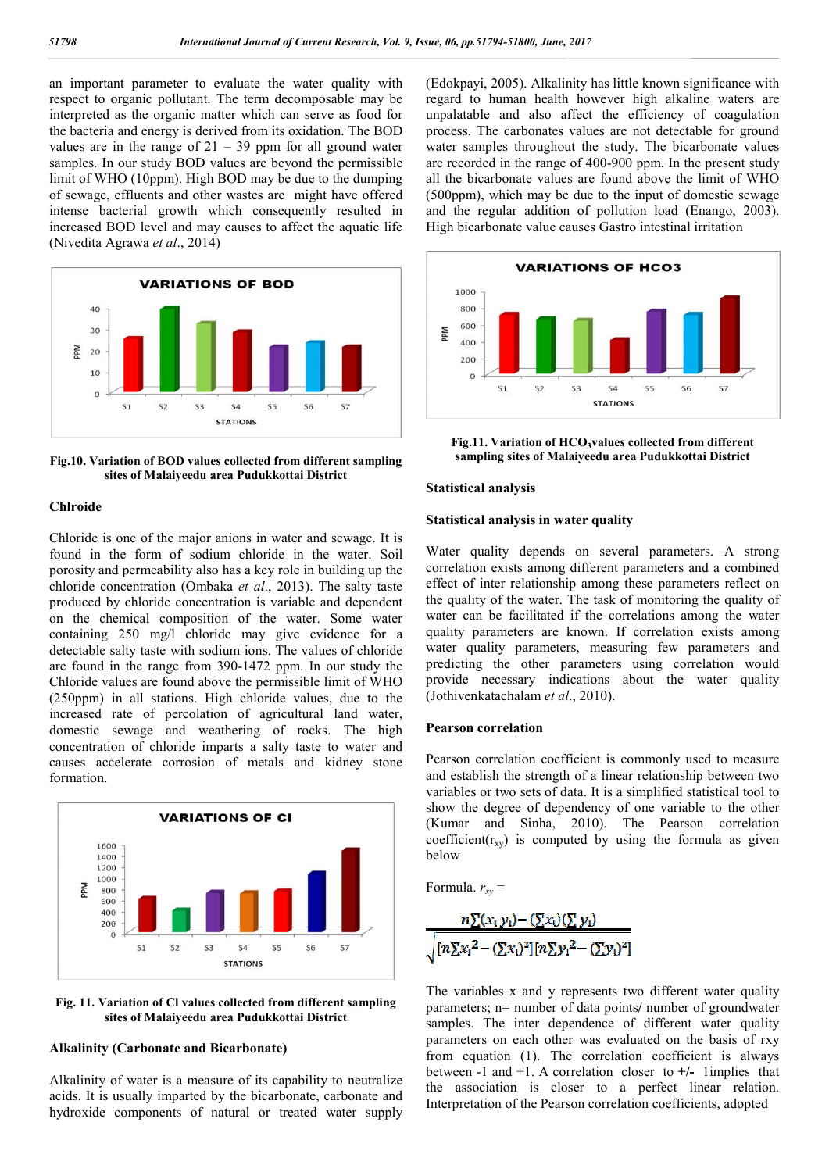an important parameter to evaluate the water quality with respect to organic pollutant. The term decomposable may be interpreted as the organic matter which can serve as food for the bacteria and energy is derived from its oxidation. The BOD values are in the range of  $21 - 39$  ppm for all ground water samples. In our study BOD values are beyond the permissible limit of WHO (10ppm). High BOD may be due to the dumping of sewage, effluents and other wastes are might have offered intense bacterial growth which consequently resulted in increased BOD level and may causes to affect the aquatic life (Nivedita Agrawa *et al*., 2014)



**Fig.10. Variation of BOD values collected from different sampling sites of Malaiyeedu area Pudukkottai District**

#### **Chlroide**

Chloride is one of the major anions in water and sewage. It is found in the form of sodium chloride in the water. Soil porosity and permeability also has a key role in building up the chloride concentration (Ombaka *et al*., 2013). The salty taste produced by chloride concentration is variable and dependent on the chemical composition of the water. Some water containing 250 mg/l chloride may give evidence for a detectable salty taste with sodium ions. The values of chloride are found in the range from 390-1472 ppm. In our study the Chloride values are found above the permissible limit of WHO (250ppm) in all stations. High chloride values, due to the increased rate of percolation of agricultural land water, domestic sewage and weathering of rocks. The high concentration of chloride imparts a salty taste to water and causes accelerate corrosion of metals and kidney stone formation.





## **Alkalinity (Carbonate and Bicarbonate)**

Alkalinity of water is a measure of its capability to neutralize acids. It is usually imparted by the bicarbonate, carbonate and hydroxide components of natural or treated water supply (Edokpayi, 2005). Alkalinity has little known significance with regard to human health however high alkaline waters are unpalatable and also affect the efficiency of coagulation process. The carbonates values are not detectable for ground water samples throughout the study. The bicarbonate values are recorded in the range of 400-900 ppm. In the present study all the bicarbonate values are found above the limit of WHO (500ppm), which may be due to the input of domestic sewage and the regular addition of pollution load (Enango, 2003). High bicarbonate value causes Gastro intestinal irritation



Fig.11. Variation of HCO<sub>3</sub>values collected from different **sampling sites of Malaiyeedu area Pudukkottai District**

### **Statistical analysis**

#### **Statistical analysis in water quality**

Water quality depends on several parameters. A strong correlation exists among different parameters and a combined effect of inter relationship among these parameters reflect on the quality of the water. The task of monitoring the quality of water can be facilitated if the correlations among the water quality parameters are known. If correlation exists among water quality parameters, measuring few parameters and predicting the other parameters using correlation would provide necessary indications about the water quality (Jothivenkatachalam *et al*., 2010).

### **Pearson correlation**

Pearson correlation coefficient is commonly used to measure and establish the strength of a linear relationship between two variables or two sets of data. It is a simplified statistical tool to show the degree of dependency of one variable to the other (Kumar and Sinha, 2010). The Pearson correlation coefficient( $r_{xy}$ ) is computed by using the formula as given below

Formula.  $r_{xy}$  =

$$
\frac{n\underline{\Sigma}(x_i y_i) - (\underline{\Sigma}x_i)(\underline{\Sigma} y_i)}{\sqrt{[n\underline{\Sigma}x_i^2 - (\underline{\Sigma}x_i)^2][n\underline{\Sigma}y_i^2 - (\underline{\Sigma}y_i)^2]}}
$$

The variables x and y represents two different water quality parameters; n= number of data points**/** number of groundwater samples. The inter dependence of different water quality parameters on each other was evaluated on the basis of rxy from equation (1). The correlation coefficient is always between -1 and +1. A correlation closer to **+/-** 1implies that the association is closer to a perfect linear relation. Interpretation of the Pearson correlation coefficients, adopted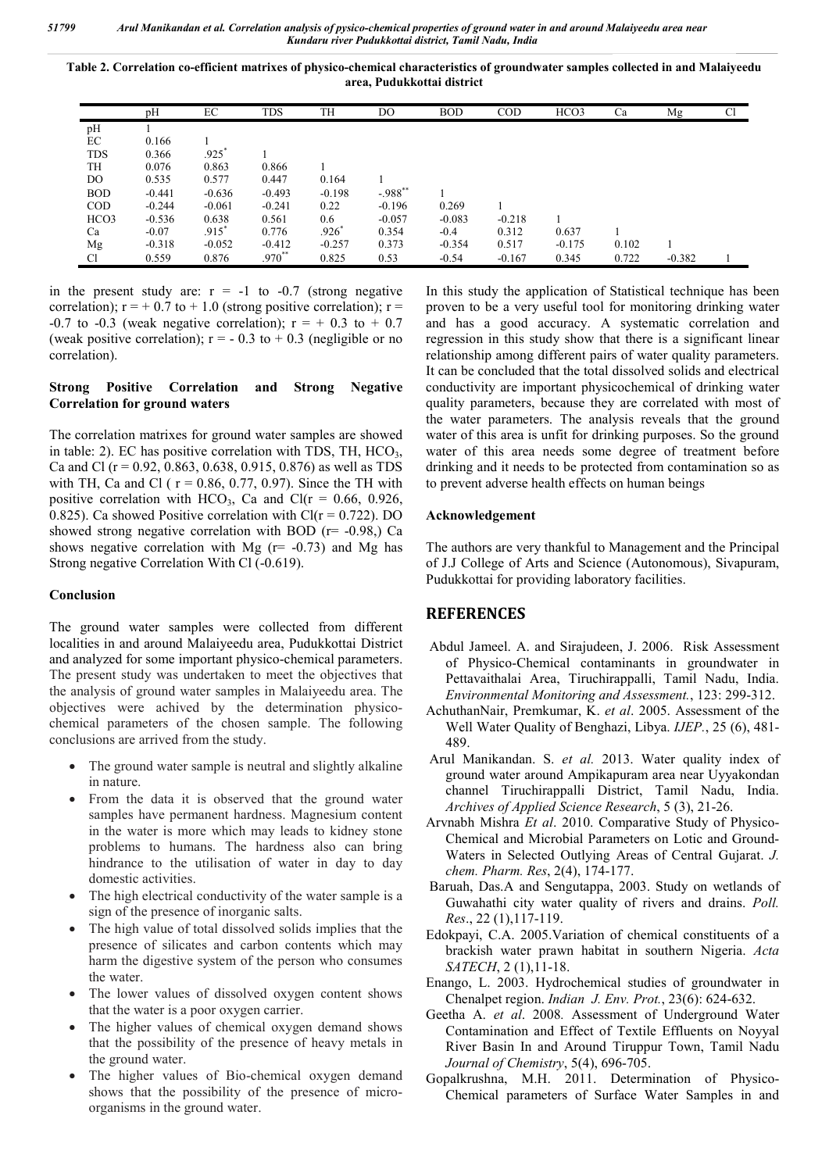**Table 2. Correlation co-efficient matrixes of physico-chemical characteristics of groundwater samples collected in and Malaiyeedu area, Pudukkottai district**

|                | pH       | EC       | <b>TDS</b> | TH       | DO                   | <b>BOD</b> | <b>COD</b> | HCO3     | Ca    | Mg       | Cl |
|----------------|----------|----------|------------|----------|----------------------|------------|------------|----------|-------|----------|----|
| pH             |          |          |            |          |                      |            |            |          |       |          |    |
| EC             | 0.166    |          |            |          |                      |            |            |          |       |          |    |
| <b>TDS</b>     | 0.366    | .925     |            |          |                      |            |            |          |       |          |    |
| TН             | 0.076    | 0.863    | 0.866      |          |                      |            |            |          |       |          |    |
| DO.            | 0.535    | 0.577    | 0.447      | 0.164    |                      |            |            |          |       |          |    |
| <b>BOD</b>     | $-0.441$ | $-0.636$ | $-0.493$   | $-0.198$ | $-.988$ <sup>*</sup> |            |            |          |       |          |    |
| <b>COD</b>     | $-0.244$ | $-0.061$ | $-0.241$   | 0.22     | $-0.196$             | 0.269      |            |          |       |          |    |
| HCO3           | $-0.536$ | 0.638    | 0.561      | 0.6      | $-0.057$             | $-0.083$   | $-0.218$   |          |       |          |    |
| Ca             | $-0.07$  | $.915*$  | 0.776      | $.926*$  | 0.354                | $-0.4$     | 0.312      | 0.637    |       |          |    |
| Mg             | $-0.318$ | $-0.052$ | $-0.412$   | $-0.257$ | 0.373                | $-0.354$   | 0.517      | $-0.175$ | 0.102 |          |    |
| <sup>C</sup> l | 0.559    | 0.876    | $.970**$   | 0.825    | 0.53                 | $-0.54$    | $-0.167$   | 0.345    | 0.722 | $-0.382$ |    |

in the present study are:  $r = -1$  to  $-0.7$  (strong negative correlation);  $r = +0.7$  to  $+1.0$  (strong positive correlation);  $r =$ -0.7 to -0.3 (weak negative correlation);  $r = +0.3$  to  $+0.7$ (weak positive correlation);  $r = -0.3$  to  $+0.3$  (negligible or no correlation).

## **Strong Positive Correlation and Strong Negative Correlation for ground waters**

The correlation matrixes for ground water samples are showed in table: 2). EC has positive correlation with TDS, TH,  $HCO<sub>3</sub>$ , Ca and Cl ( $r = 0.92, 0.863, 0.638, 0.915, 0.876$ ) as well as TDS with TH, Ca and Cl ( $r = 0.86$ , 0.77, 0.97). Since the TH with positive correlation with HCO<sub>3</sub>, Ca and Cl( $r = 0.66$ , 0.926, 0.825). Ca showed Positive correlation with  $Cl(r = 0.722)$ . DO showed strong negative correlation with BOD ( $r = -0.98$ .) Ca shows negative correlation with Mg  $(r= -0.73)$  and Mg has Strong negative Correlation With Cl (-0.619).

### **Conclusion**

The ground water samples were collected from different localities in and around Malaiyeedu area, Pudukkottai District and analyzed for some important physico-chemical parameters. The present study was undertaken to meet the objectives that the analysis of ground water samples in Malaiyeedu area. The objectives were achived by the determination physicochemical parameters of the chosen sample. The following conclusions are arrived from the study.

- The ground water sample is neutral and slightly alkaline in nature.
- From the data it is observed that the ground water samples have permanent hardness. Magnesium content in the water is more which may leads to kidney stone problems to humans. The hardness also can bring hindrance to the utilisation of water in day to day domestic activities.
- The high electrical conductivity of the water sample is a sign of the presence of inorganic salts.
- The high value of total dissolved solids implies that the presence of silicates and carbon contents which may harm the digestive system of the person who consumes the water.
- The lower values of dissolved oxygen content shows that the water is a poor oxygen carrier.
- The higher values of chemical oxygen demand shows that the possibility of the presence of heavy metals in the ground water.
- The higher values of Bio-chemical oxygen demand shows that the possibility of the presence of microorganisms in the ground water.

In this study the application of Statistical technique has been proven to be a very useful tool for monitoring drinking water and has a good accuracy. A systematic correlation and regression in this study show that there is a significant linear relationship among different pairs of water quality parameters. It can be concluded that the total dissolved solids and electrical conductivity are important physicochemical of drinking water quality parameters, because they are correlated with most of the water parameters. The analysis reveals that the ground water of this area is unfit for drinking purposes. So the ground water of this area needs some degree of treatment before drinking and it needs to be protected from contamination so as to prevent adverse health effects on human beings

## **Acknowledgement**

The authors are very thankful to Management and the Principal of J.J College of Arts and Science (Autonomous), Sivapuram, Pudukkottai for providing laboratory facilities.

# **REFERENCES**

- Abdul Jameel. A. and Sirajudeen, J. 2006. Risk Assessment of Physico-Chemical contaminants in groundwater in Pettavaithalai Area, Tiruchirappalli, Tamil Nadu, India. *Environmental Monitoring and Assessment.*, 123: 299-312.
- AchuthanNair, Premkumar, K. *et al*. 2005. Assessment of the Well Water Quality of Benghazi, Libya. *IJEP.*, 25 (6), 481- 489.
- Arul Manikandan. S. *et al.* 2013. Water quality index of ground water around Ampikapuram area near Uyyakondan channel Tiruchirappalli District, Tamil Nadu, India. *Archives of Applied Science Research*, 5 (3), 21-26.
- Arvnabh Mishra *Et al*. 2010. Comparative Study of Physico-Chemical and Microbial Parameters on Lotic and Ground-Waters in Selected Outlying Areas of Central Gujarat. *J. chem. Pharm. Res*, 2(4), 174-177.
- Baruah, Das.A and Sengutappa, 2003. Study on wetlands of Guwahathi city water quality of rivers and drains. *Poll. Res*., 22 (1),117-119.
- Edokpayi, C.A. 2005.Variation of chemical constituents of a brackish water prawn habitat in southern Nigeria. *Acta SATECH*, 2 (1),11-18.
- Enango, L. 2003. Hydrochemical studies of groundwater in Chenalpet region. *Indian J. Env. Prot.*, 23(6): 624-632.
- Geetha A. *et al*. 2008*.* Assessment of Underground Water Contamination and Effect of Textile Effluents on Noyyal River Basin In and Around Tiruppur Town, Tamil Nadu *Journal of Chemistry*, 5(4), 696-705.
- Gopalkrushna, M.H. 2011. Determination of Physico-Chemical parameters of Surface Water Samples in and